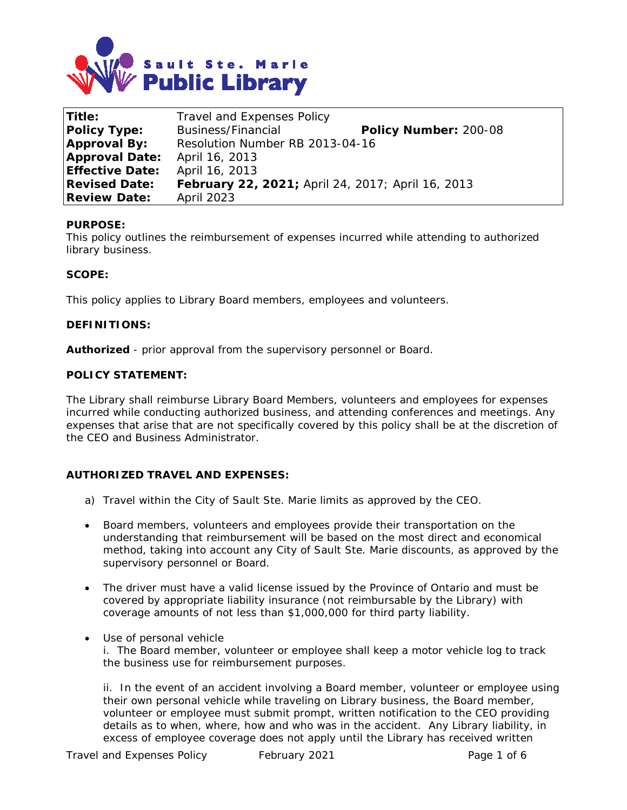

| <b>Title:</b>          | Travel and Expenses Policy                        |                       |
|------------------------|---------------------------------------------------|-----------------------|
| <b>Policy Type:</b>    | Business/Financial                                | Policy Number: 200-08 |
| <b>Approval By:</b>    | Resolution Number RB 2013-04-16                   |                       |
| <b>Approval Date:</b>  | April 16, 2013                                    |                       |
| <b>Effective Date:</b> | April 16, 2013                                    |                       |
| <b>Revised Date:</b>   | February 22, 2021; April 24, 2017; April 16, 2013 |                       |
| <b>Review Date:</b>    | <b>April 2023</b>                                 |                       |

## **PURPOSE:**

This policy outlines the reimbursement of expenses incurred while attending to authorized library business.

#### **SCOPE:**

This policy applies to Library Board members, employees and volunteers.

#### **DEFINITIONS:**

**Authorized** - prior approval from the supervisory personnel or Board.

#### **POLICY STATEMENT:**

The Library shall reimburse Library Board Members, volunteers and employees for expenses incurred while conducting authorized business, and attending conferences and meetings. Any expenses that arise that are not specifically covered by this policy shall be at the discretion of the CEO and Business Administrator.

## **AUTHORIZED TRAVEL AND EXPENSES:**

- a) Travel within the City of Sault Ste. Marie limits as approved by the CEO.
- Board members, volunteers and employees provide their transportation on the understanding that reimbursement will be based on the most direct and economical method, taking into account any City of Sault Ste. Marie discounts, as approved by the supervisory personnel or Board.
- The driver must have a valid license issued by the Province of Ontario and must be covered by appropriate liability insurance (not reimbursable by the Library) with coverage amounts of not less than \$1,000,000 for third party liability.
- Use of personal vehicle

i. The Board member, volunteer or employee shall keep a motor vehicle log to track the business use for reimbursement purposes.

ii. In the event of an accident involving a Board member, volunteer or employee using their own personal vehicle while traveling on Library business, the Board member, volunteer or employee must submit prompt, written notification to the CEO providing details as to when, where, how and who was in the accident. Any Library liability, in excess of employee coverage does not apply until the Library has received written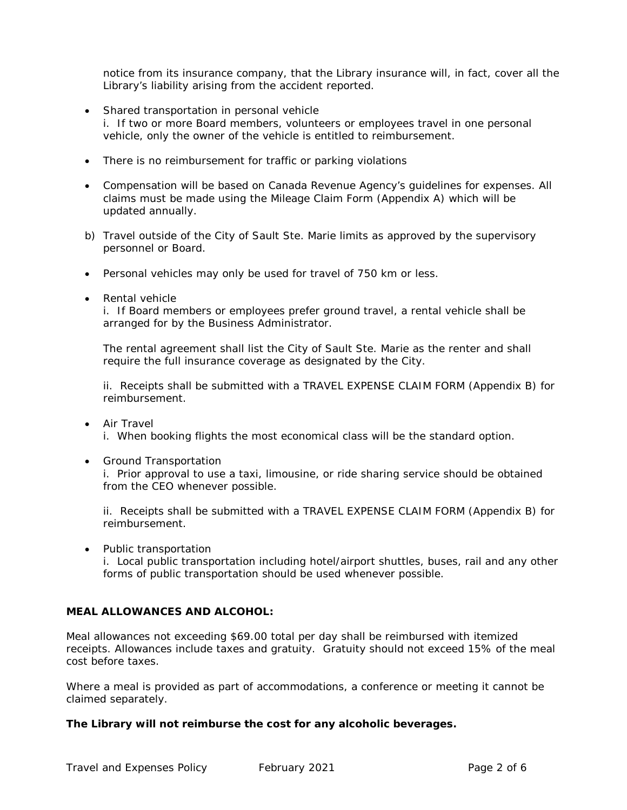notice from its insurance company, that the Library insurance will, in fact, cover all the Library's liability arising from the accident reported.

- Shared transportation in personal vehicle i. If two or more Board members, volunteers or employees travel in one personal vehicle, only the owner of the vehicle is entitled to reimbursement.
- There is no reimbursement for traffic or parking violations
- Compensation will be based on Canada Revenue Agency's guidelines for expenses. All claims must be made using the Mileage Claim Form (Appendix A) which will be updated annually.
- b) Travel outside of the City of Sault Ste. Marie limits as approved by the supervisory personnel or Board.
- Personal vehicles may only be used for travel of 750 km or less.
- Rental vehicle

i. If Board members or employees prefer ground travel, a rental vehicle shall be arranged for by the Business Administrator.

The rental agreement shall list the City of Sault Ste. Marie as the renter and shall require the full insurance coverage as designated by the City.

ii. Receipts shall be submitted with a TRAVEL EXPENSE CLAIM FORM (Appendix B) for reimbursement.

- Air Travel i. When booking flights the most economical class will be the standard option.
- Ground Transportation

i. Prior approval to use a taxi, limousine, or ride sharing service should be obtained from the CEO whenever possible.

ii. Receipts shall be submitted with a TRAVEL EXPENSE CLAIM FORM (Appendix B) for reimbursement.

• Public transportation

i. Local public transportation including hotel/airport shuttles, buses, rail and any other forms of public transportation should be used whenever possible.

## **MEAL ALLOWANCES AND ALCOHOL:**

Meal allowances not exceeding \$69.00 total per day shall be reimbursed with itemized receipts. Allowances include taxes and gratuity. Gratuity should not exceed 15% of the meal cost before taxes.

Where a meal is provided as part of accommodations, a conference or meeting it cannot be claimed separately.

## **The Library will not reimburse the cost for any alcoholic beverages.**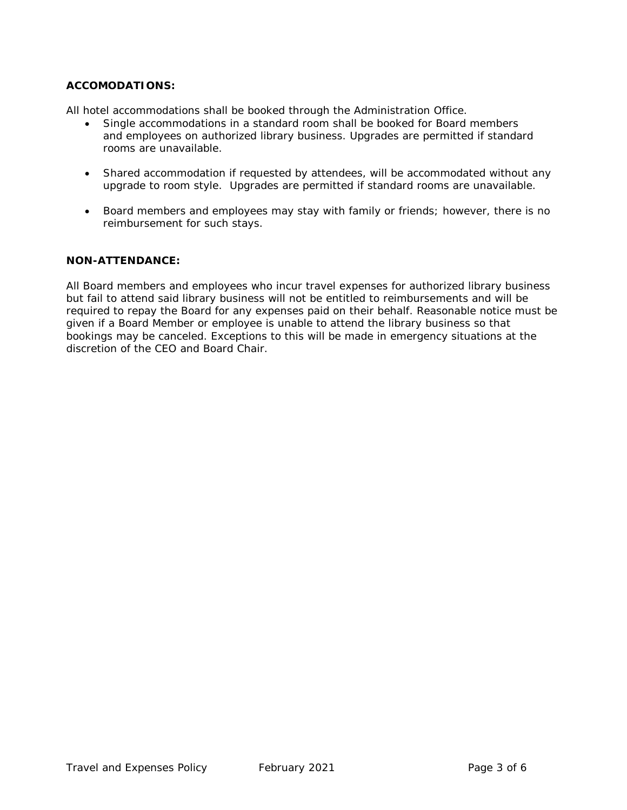# **ACCOMODATIONS:**

All hotel accommodations shall be booked through the Administration Office.

- Single accommodations in a standard room shall be booked for Board members and employees on authorized library business. Upgrades are permitted if standard rooms are unavailable.
- Shared accommodation if requested by attendees, will be accommodated without any upgrade to room style. Upgrades are permitted if standard rooms are unavailable.
- Board members and employees may stay with family or friends; however, there is no reimbursement for such stays.

#### **NON-ATTENDANCE:**

All Board members and employees who incur travel expenses for authorized library business but fail to attend said library business will not be entitled to reimbursements and will be required to repay the Board for any expenses paid on their behalf. Reasonable notice must be given if a Board Member or employee is unable to attend the library business so that bookings may be canceled. Exceptions to this will be made in emergency situations at the discretion of the CEO and Board Chair.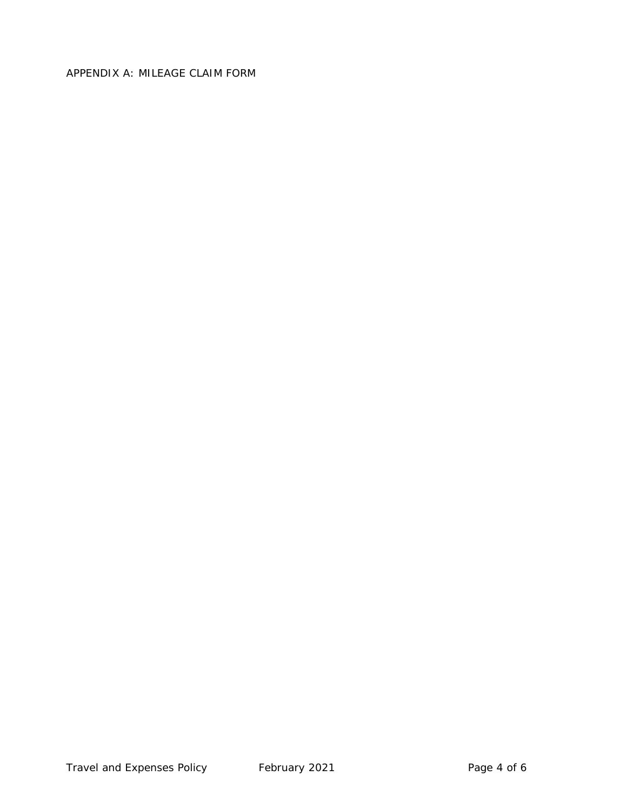# APPENDIX A: MILEAGE CLAIM FORM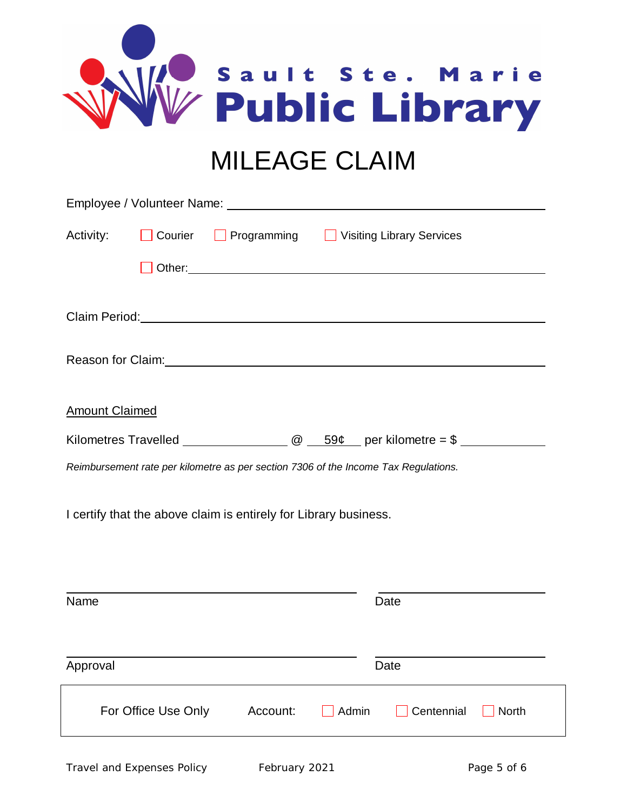|                       |  | Sault Ste. Marie<br><b>MILEAGE CLAIM</b>                                                                       |
|-----------------------|--|----------------------------------------------------------------------------------------------------------------|
|                       |  |                                                                                                                |
| Activity:             |  | □ Courier □ Programming □ Visiting Library Services                                                            |
|                       |  |                                                                                                                |
|                       |  |                                                                                                                |
|                       |  | Reason for Claim: 1990 and 200 and 200 and 200 and 200 and 200 and 200 and 200 and 200 and 200 and 200 and 200 |
| <b>Amount Claimed</b> |  |                                                                                                                |

| <b>Kilometres Travelled</b> |  | 59¢ | per kilometre = $$$ |  |
|-----------------------------|--|-----|---------------------|--|
|                             |  |     |                     |  |

*Reimbursement rate per kilometre as per section 7306 of the Income Tax Regulations.*

I certify that the above claim is entirely for Library business.

| Name                |          |              | Date              |              |
|---------------------|----------|--------------|-------------------|--------------|
| Approval            |          |              | Date              |              |
| For Office Use Only | Account: | $\Box$ Admin | $\Box$ Centennial | $\Box$ North |
|                     |          |              |                   |              |